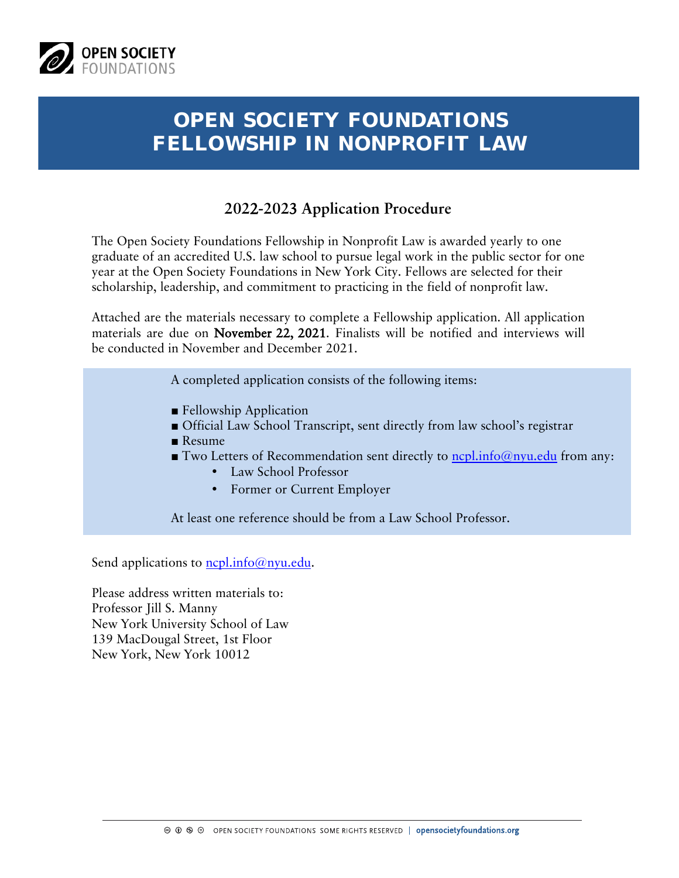

# **OPEN SOCIETY FOUNDATIONS FELLOWSHIP IN NONPROFIT LAW**

### **202**2**-202**3 **Application Procedure**

The Open Society Foundations Fellowship in Nonprofit Law is awarded yearly to one graduate of an accredited U.S. law school to pursue legal work in the public sector for one year at the Open Society Foundations in New York City. Fellows are selected for their scholarship, leadership, and commitment to practicing in the field of nonprofit law.

Attached are the materials necessary to complete a Fellowship application. All application materials are due on November 22, 2021. Finalists will be notified and interviews will be conducted in November and December 2021.

A completed application consists of the following items:

- Fellowship Application
- Official Law School Transcript, sent directly from law school's registrar
- Resume
- Two Letters of Recommendation sent directly to ncpl.info@nyu.edu from any:
	- Law School Professor
	- Former or Current Employer

At least one reference should be from a Law School Professor.

Send applications to  $ncl.info@nyu.edu$ .

Please address written materials to: Professor Jill S. Manny New York University School of Law 139 MacDougal Street, 1st Floor New York, New York 10012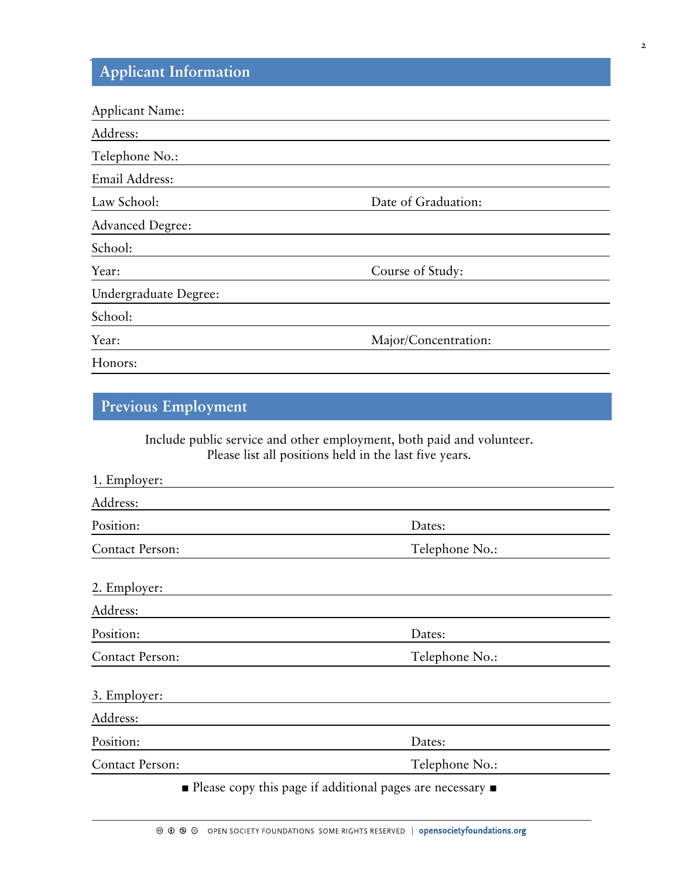## **Applicant Information**

| <b>Applicant Name:</b>  |                      |
|-------------------------|----------------------|
| Address:                |                      |
| Telephone No.:          |                      |
| Email Address:          |                      |
| Law School:             | Date of Graduation:  |
| <b>Advanced Degree:</b> |                      |
| School:                 |                      |
| Year:                   | Course of Study:     |
| Undergraduate Degree:   |                      |
| School:                 |                      |
| Year:                   | Major/Concentration: |
| Honors:                 |                      |

### **Previous Employment**

Include public service and other employment, both paid and volunteer. Please list all positions held in the last five years.

| 1. Employer:           |                                                                                       |
|------------------------|---------------------------------------------------------------------------------------|
| Address:               |                                                                                       |
| Position:              | Dates:                                                                                |
| <b>Contact Person:</b> | Telephone No.:                                                                        |
| 2. Employer:           |                                                                                       |
| Address:               |                                                                                       |
| Position:              | Dates:                                                                                |
| <b>Contact Person:</b> | Telephone No.:                                                                        |
| 3. Employer:           |                                                                                       |
| Address:               |                                                                                       |
| Position:              | Dates:                                                                                |
| <b>Contact Person:</b> | Telephone No.:                                                                        |
|                        | $\blacksquare$ Please copy this page if additional pages are necessary $\blacksquare$ |